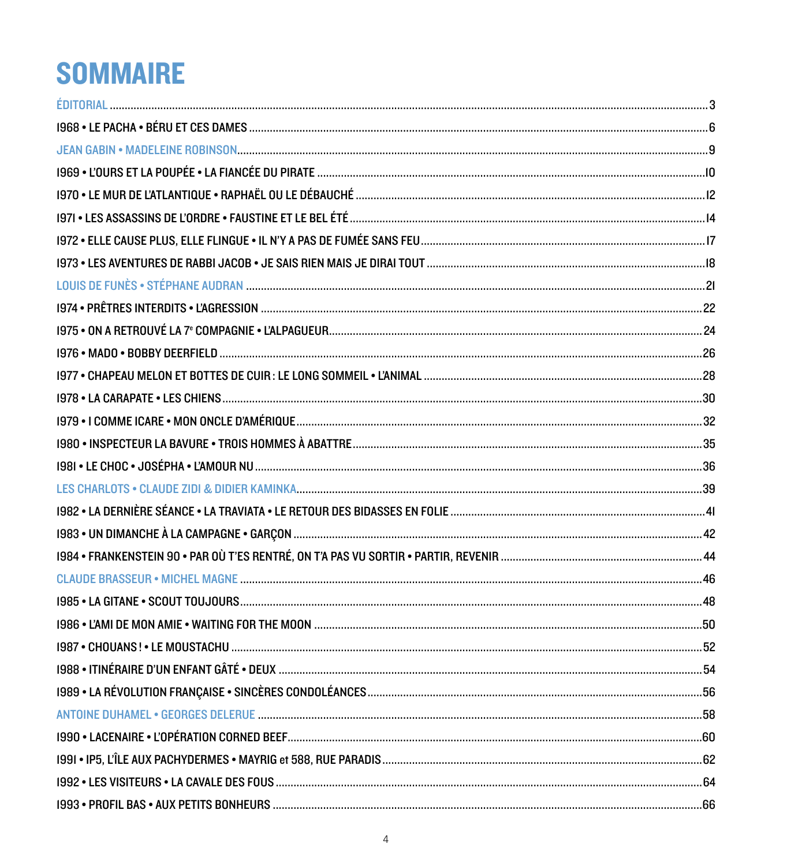## **SOMMAIRE**

| 56 |
|----|
|    |
|    |
|    |
|    |
|    |